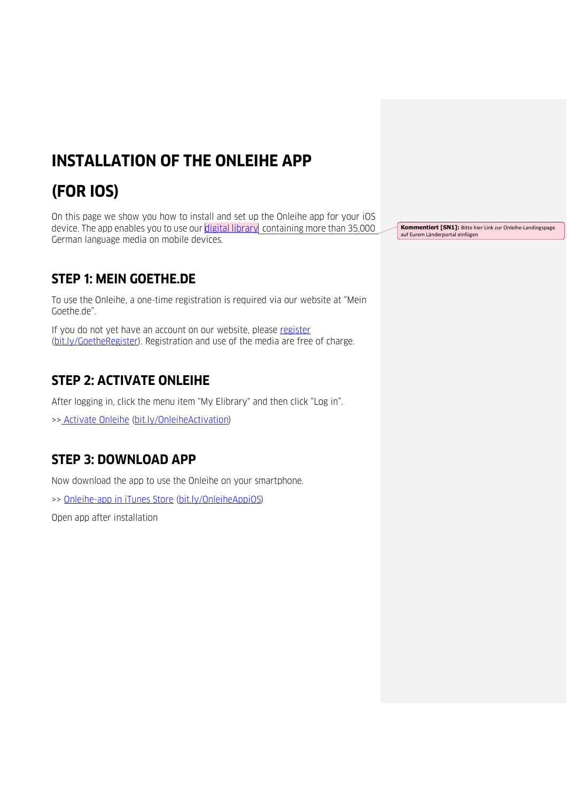## **INSTALLATION OF THE ONLEIHE APP**

# **(FOR IOS)**

On this page we show you how to install and set up the Onleihe app for your iOS device. The app enables you to use our digital library containing more than 35,000 German language media on mobile devices.

### **STEP 1: MEIN GOETHE.DE**

To use the Onleihe, a one-time registration is required via our website at "Mein Goethe.de".

If you do not yet have an account on our website, please [register](https://login.goethe.de/cas/signup?service=https%3A%2F%2Fmy.goethe.de%2Fkdf%2Fj_spring_cas_security_check&ort=pxxenYY&locale=en) [\(bit.ly/GoetheRegister\)](http://bit.ly/GoetheRegister). Registration and use of the media are free of charge.

#### **STEP 2: ACTIVATE ONLEIHE**

After logging in, click the menu item "My Elibrary" and then click "Log in".

>> [Activate Onleihe](https://my.goethe.de/kdf/faces/user/library/library.faces?symvl=t&ort=pxxenYY&locale=en) [\(bit.ly/OnleiheActivation\)](http://bit.ly/OnleiheActivation)

#### **STEP 3: DOWNLOAD APP**

Now download the app to use the Onleihe on your smartphone.

>> [Onleihe-app in iTunes Store](https://itunes.apple.com/de/app/onleihe/id422554835?mt=8) [\(bit.ly/OnleiheAppiOS\)](http://bit.ly/OnleiheAppiOS)

Open app after installation

**Kommentiert [SN1]:** Bitte hier Link zur Onleihe-Landingspage auf Eurem Länderportal einfügen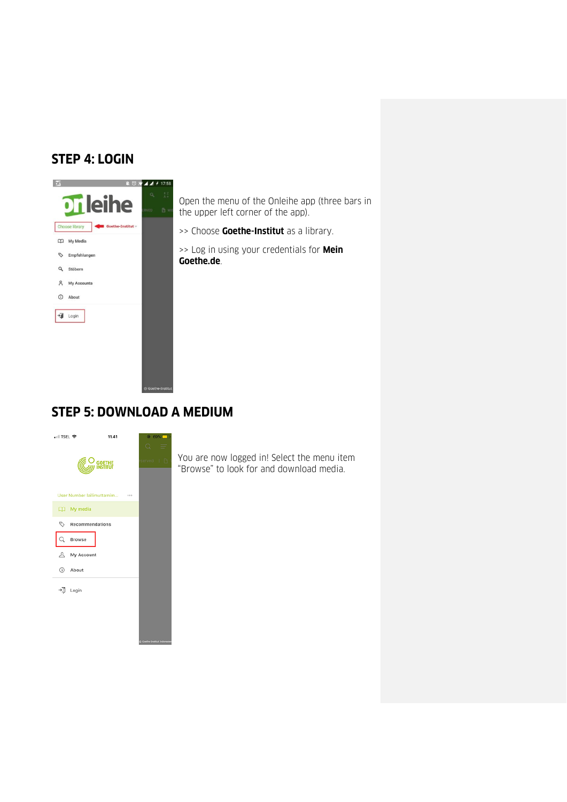#### **STEP 4: LOGIN**



Open the menu of the Onleihe app (three bars in the upper left corner of the app).

>> Choose **Goethe-Institut** as a library.

>> Log in using your credentials for **Mein Goethe.de**.

#### **STEP 5: DOWNLOAD A MEDIUM**



You are now logged in! Select the menu item "Browse" to look for and download media.